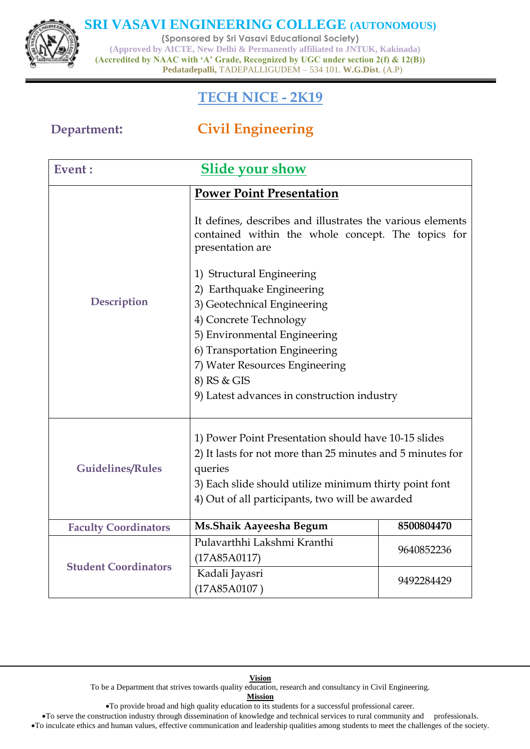

**(Sponsored by Sri Vasavi Educational Society)**

**(Approved by AICTE, New Delhi & Permanently affiliated to JNTUK, Kakinada) (Accredited by NAAC with 'A' Grade, Recognized by UGC under section 2(f) & 12(B)) Pedatadepalli,** TADEPALLIGUDEM – 534 101. **W.G.Dist**. (A.P)

## **TECH NICE - 2K19**

# **Department: Civil Engineering**

| Event:                                                                                                                                                                                                                                                                                                                                           | <b>Slide your show</b>                                                                                                                                                                                                                     |            |
|--------------------------------------------------------------------------------------------------------------------------------------------------------------------------------------------------------------------------------------------------------------------------------------------------------------------------------------------------|--------------------------------------------------------------------------------------------------------------------------------------------------------------------------------------------------------------------------------------------|------------|
| <b>Power Point Presentation</b><br>It defines, describes and illustrates the various elements<br>contained within the whole concept. The topics for<br>presentation are<br>1) Structural Engineering<br>2) Earthquake Engineering<br><b>Description</b><br>3) Geotechnical Engineering<br>4) Concrete Technology<br>5) Environmental Engineering |                                                                                                                                                                                                                                            |            |
|                                                                                                                                                                                                                                                                                                                                                  | 6) Transportation Engineering<br>7) Water Resources Engineering<br>8) RS & GIS<br>9) Latest advances in construction industry                                                                                                              |            |
| <b>Guidelines/Rules</b>                                                                                                                                                                                                                                                                                                                          | 1) Power Point Presentation should have 10-15 slides<br>2) It lasts for not more than 25 minutes and 5 minutes for<br>queries<br>3) Each slide should utilize minimum thirty point font<br>4) Out of all participants, two will be awarded |            |
| <b>Faculty Coordinators</b>                                                                                                                                                                                                                                                                                                                      | Ms.Shaik Aayeesha Begum                                                                                                                                                                                                                    | 8500804470 |
| <b>Student Coordinators</b>                                                                                                                                                                                                                                                                                                                      | Pulavarthhi Lakshmi Kranthi<br>(17A85A0117)                                                                                                                                                                                                | 9640852236 |
|                                                                                                                                                                                                                                                                                                                                                  | Kadali Jayasri<br>(17A85A0107)                                                                                                                                                                                                             | 9492284429 |

**Vision** To be a Department that strives towards quality education, research and consultancy in Civil Engineering. **Mission**

To provide broad and high quality education to its students for a successful professional career.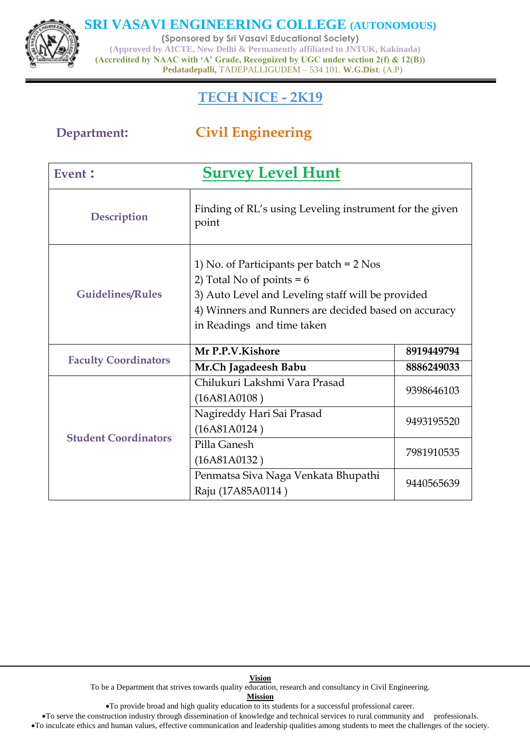

**(Sponsored by Sri Vasavi Educational Society) (Approved by AICTE, New Delhi & Permanently affiliated to JNTUK, Kakinada) (Accredited by NAAC with 'A' Grade, Recognized by UGC under section 2(f) & 12(B)) Pedatadepalli,** TADEPALLIGUDEM – 534 101. **W.G.Dist**. (A.P)

## **TECH NICE - 2K19**

# **Department: Civil Engineering**

| Event :                     | <b>Survey Level Hunt</b>                                                                                                                                                                                             |            |  |
|-----------------------------|----------------------------------------------------------------------------------------------------------------------------------------------------------------------------------------------------------------------|------------|--|
| Description                 | Finding of RL's using Leveling instrument for the given<br>point                                                                                                                                                     |            |  |
| <b>Guidelines/Rules</b>     | 1) No. of Participants per batch $= 2$ Nos<br>2) Total No of points = $6$<br>3) Auto Level and Leveling staff will be provided<br>4) Winners and Runners are decided based on accuracy<br>in Readings and time taken |            |  |
| <b>Faculty Coordinators</b> | Mr P.P.V.Kishore                                                                                                                                                                                                     | 8919449794 |  |
|                             | Mr.Ch Jagadeesh Babu                                                                                                                                                                                                 | 8886249033 |  |
| <b>Student Coordinators</b> | Chilukuri Lakshmi Vara Prasad<br>(16A81A0108)                                                                                                                                                                        | 9398646103 |  |
|                             | Nagireddy Hari Sai Prasad<br>(16A81A0124)                                                                                                                                                                            | 9493195520 |  |
|                             | Pilla Ganesh<br>(16A81A0132)                                                                                                                                                                                         | 7981910535 |  |
|                             | Penmatsa Siva Naga Venkata Bhupathi<br>Raju (17A85A0114)                                                                                                                                                             | 9440565639 |  |

**Vision** To be a Department that strives towards quality education, research and consultancy in Civil Engineering.

**Mission**

To provide broad and high quality education to its students for a successful professional career.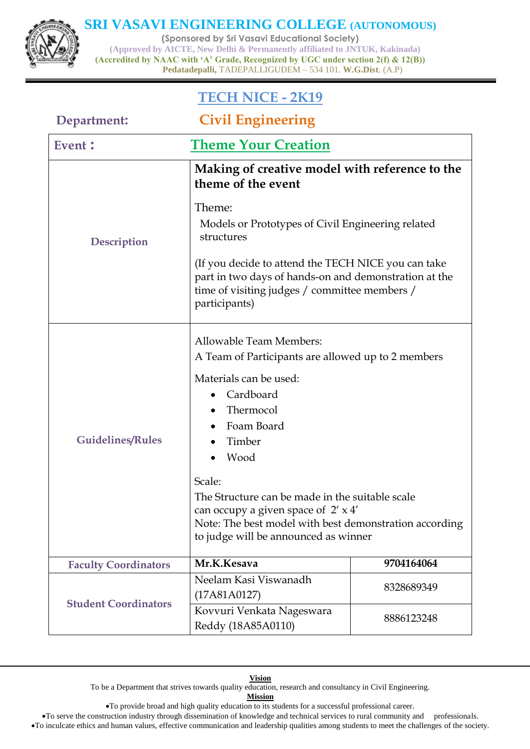**(Sponsored by Sri Vasavi Educational Society) (Approved by AICTE, New Delhi & Permanently affiliated to JNTUK, Kakinada) (Accredited by NAAC with 'A' Grade, Recognized by UGC under section 2(f) & 12(B)) Pedatadepalli,** TADEPALLIGUDEM – 534 101. **W.G.Dist**. (A.P)

## **TECH NICE - 2K19**

| Department:                 | <b>Civil Engineering</b>                                                                                                                                                                                                                                                                                                                                                                    |            |  |
|-----------------------------|---------------------------------------------------------------------------------------------------------------------------------------------------------------------------------------------------------------------------------------------------------------------------------------------------------------------------------------------------------------------------------------------|------------|--|
| Event :                     | <b>Theme Your Creation</b>                                                                                                                                                                                                                                                                                                                                                                  |            |  |
|                             | Making of creative model with reference to the<br>theme of the event                                                                                                                                                                                                                                                                                                                        |            |  |
| Description                 | Theme:<br>Models or Prototypes of Civil Engineering related<br>structures                                                                                                                                                                                                                                                                                                                   |            |  |
|                             | (If you decide to attend the TECH NICE you can take<br>part in two days of hands-on and demonstration at the<br>time of visiting judges / committee members /<br>participants)                                                                                                                                                                                                              |            |  |
| <b>Guidelines/Rules</b>     | Allowable Team Members:<br>A Team of Participants are allowed up to 2 members<br>Materials can be used:<br>Cardboard<br>Thermocol<br>Foam Board<br>$\bullet$<br>Timber<br>Wood<br>Scale:<br>The Structure can be made in the suitable scale<br>can occupy a given space of $2' \times 4'$<br>Note: The best model with best demonstration according<br>to judge will be announced as winner |            |  |
| <b>Faculty Coordinators</b> | Mr.K.Kesava                                                                                                                                                                                                                                                                                                                                                                                 | 9704164064 |  |
| <b>Student Coordinators</b> | Neelam Kasi Viswanadh<br>(17A81A0127)                                                                                                                                                                                                                                                                                                                                                       | 8328689349 |  |
|                             | Kovvuri Venkata Nageswara<br>Reddy (18A85A0110)                                                                                                                                                                                                                                                                                                                                             | 8886123248 |  |

#### **Vision**

To be a Department that strives towards quality education, research and consultancy in Civil Engineering.

**Mission**

To provide broad and high quality education to its students for a successful professional career.